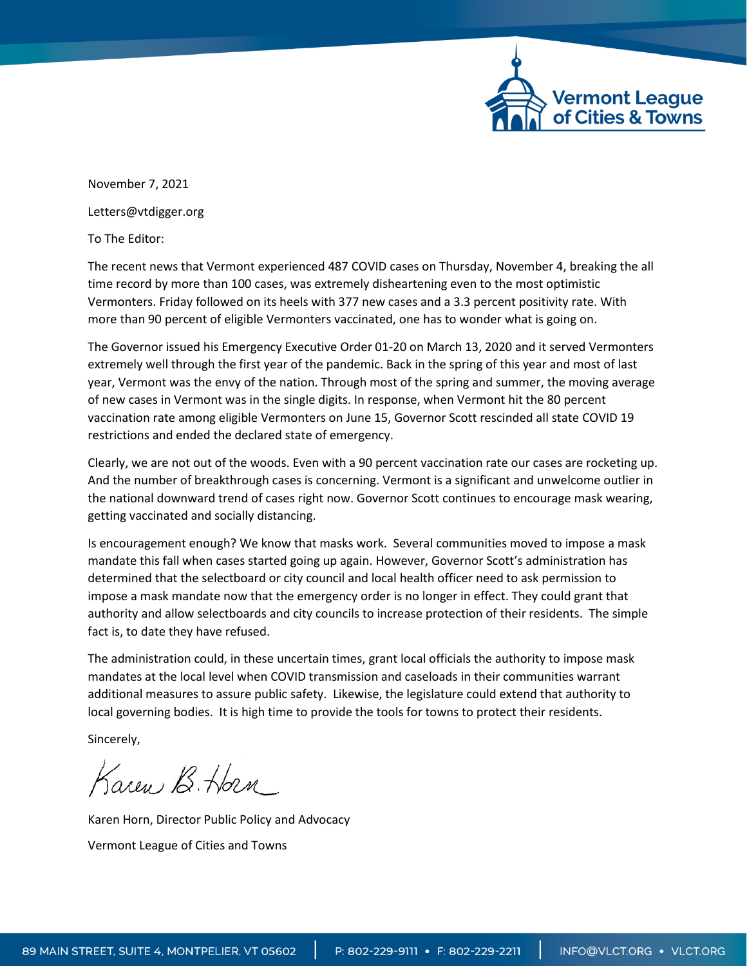

November 7, 2021 Letters@vtdigger.org

To The Editor:

The recent news that Vermont experienced 487 COVID cases on Thursday, November 4, breaking the all time record by more than 100 cases, was extremely disheartening even to the most optimistic Vermonters. Friday followed on its heels with 377 new cases and a 3.3 percent positivity rate. With more than 90 percent of eligible Vermonters vaccinated, one has to wonder what is going on.

The Governor issued his Emergency Executive Order 01-20 on March 13, 2020 and it served Vermonters extremely well through the first year of the pandemic. Back in the spring of this year and most of last year, Vermont was the envy of the nation. Through most of the spring and summer, the moving average of new cases in Vermont was in the single digits. In response, when Vermont hit the 80 percent vaccination rate among eligible Vermonters on June 15, Governor Scott rescinded all state COVID 19 restrictions and ended the declared state of emergency.

Clearly, we are not out of the woods. Even with a 90 percent vaccination rate our cases are rocketing up. And the number of breakthrough cases is concerning. Vermont is a significant and unwelcome outlier in the national downward trend of cases right now. Governor Scott continues to encourage mask wearing, getting vaccinated and socially distancing.

Is encouragement enough? We know that masks work. Several communities moved to impose a mask mandate this fall when cases started going up again. However, Governor Scott's administration has determined that the selectboard or city council and local health officer need to ask permission to impose a mask mandate now that the emergency order is no longer in effect. They could grant that authority and allow selectboards and city councils to increase protection of their residents. The simple fact is, to date they have refused.

The administration could, in these uncertain times, grant local officials the authority to impose mask mandates at the local level when COVID transmission and caseloads in their communities warrant additional measures to assure public safety. Likewise, the legislature could extend that authority to local governing bodies. It is high time to provide the tools for towns to protect their residents.

Sincerely,

Karen B. Horn

Karen Horn, Director Public Policy and Advocacy Vermont League of Cities and Towns